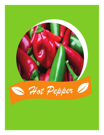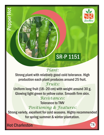

# SR-P 1151

## *Plant:*

Strong plant with relatively good cold tolerance. High production each plant produces around 25 fruit.

#### *Fruits:*

Uniform long fruit (18–20 cm) with weight around 30 g. Glowing light green to yellow color. Smooth firm skin.

## *Resistances:*

Tolerance to TMV *Positioning & Features:*

Strong variety, excellent for cold seasons. Highly recommended for spring summer & winter plantation.

Hot Charleston

Pepper Hot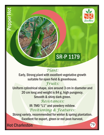

# SR-P 1179

## *Plant:*

Early, Strong plant with excellent vegetative growth suitable for open field & greenhouse.

#### *Fruits:*

Uniform cylindrical shape, size around 3 cm in diameter and 20 cm long and weight is 84 g, high pungency. Smooth & shiny dark green.

## *Resistances:*

IR: TM0 "L1" and powdery mildew. *Positioning & Features:*

Strong variety, recommended for winter & spring plantation. Excellent for export, green or red post-harvest.

Hot Charleston

Pepper Hot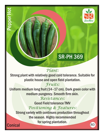

## SR-PH 369

## *Plant:*

Strong plant with relatively good cold tolerance. Suitable for plastic house and open field plantation.

## *Fruits:*

Uniform medium long fruit (14–17 cm). Dark green color with medium pungency. Smooth firm skin.

## *Resistances:*

Good Field tolerance TMV *Positioning & Features:*

Strong variety with continues production throughout the season. Highly recommended for spring plantation. 80

**Conical** 

eppe